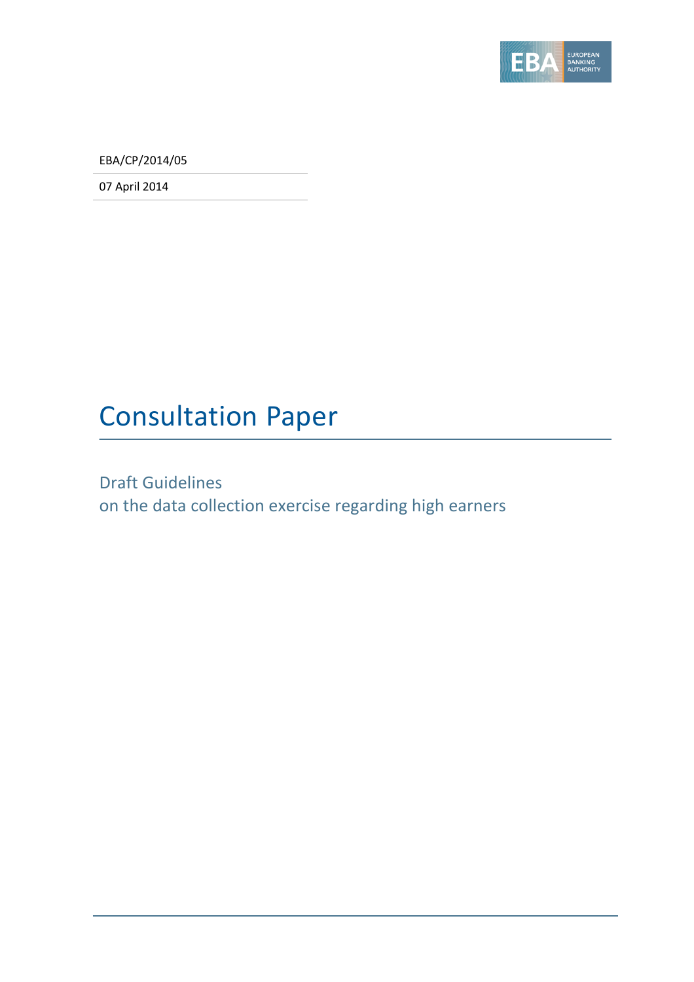

EBA/CP/2014/05

07 April 2014

# Consultation Paper

Draft Guidelines on the data collection exercise regarding high earners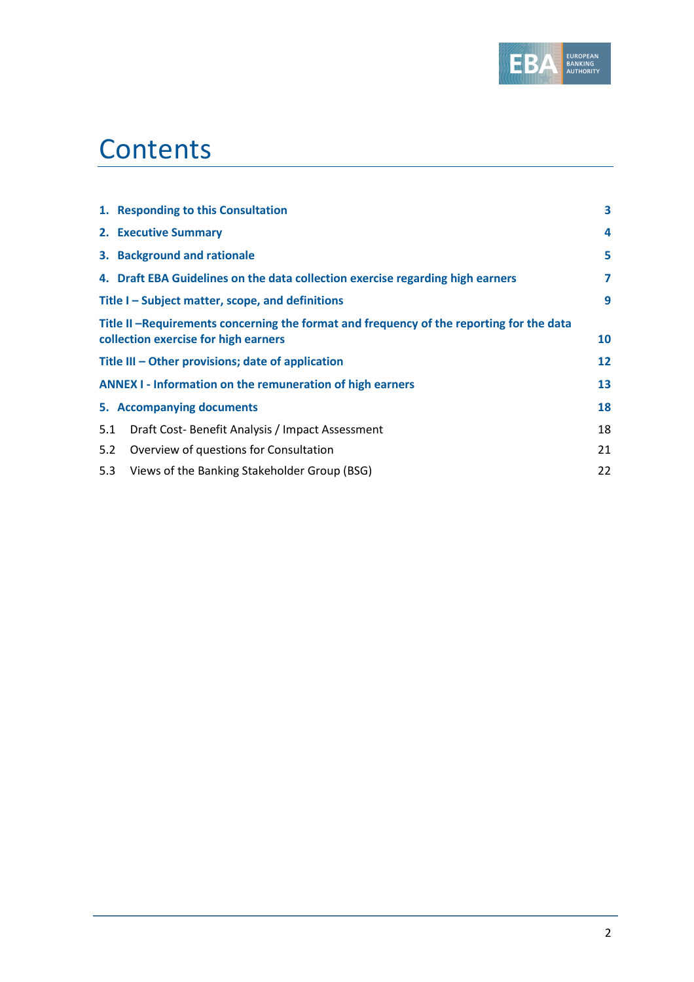

# **Contents**

| 3  |
|----|
| 4  |
| 5  |
| 7  |
| 9  |
|    |
| 10 |
| 12 |
| 13 |
| 18 |
| 18 |
| 21 |
| 22 |
|    |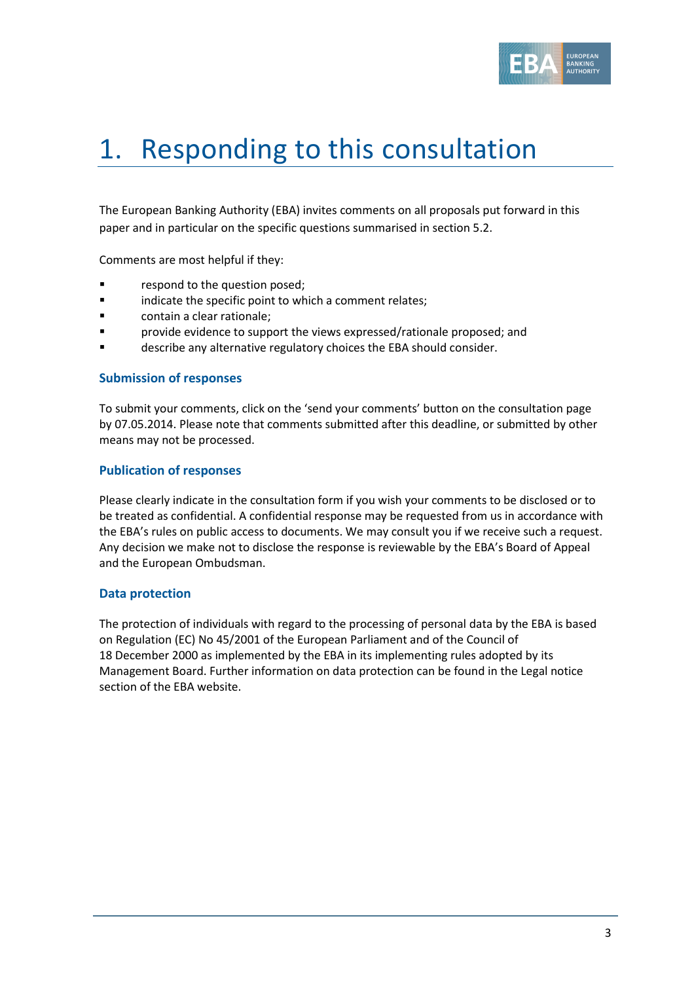

# 1. Responding to this consultation

The European Banking Authority (EBA) invites comments on all proposals put forward in this paper and in particular on the specific questions summarised in section 5.2.

Comments are most helpful if they:

- **Fallengia Exercise 1** respond to the question posed;
- **Example 3** indicate the specific point to which a comment relates;
- contain a clear rationale;
- provide evidence to support the views expressed/rationale proposed; and
- describe any alternative regulatory choices the EBA should consider.

#### **Submission of responses**

To submit your comments, click on the 'send your comments' button on the consultation page by 07.05.2014. Please note that comments submitted after this deadline, or submitted by other means may not be processed.

#### **Publication of responses**

Please clearly indicate in the consultation form if you wish your comments to be disclosed or to be treated as confidential. A confidential response may be requested from us in accordance with the EBA's rules on public access to documents. We may consult you if we receive such a request. Any decision we make not to disclose the response is reviewable by the EBA's Board of Appeal and the European Ombudsman.

#### **Data protection**

The protection of individuals with regard to the processing of personal data by the EBA is based on Regulation (EC) No 45/2001 of the European Parliament and of the Council of 18 December 2000 as implemented by the EBA in its implementing rules adopted by its Management Board. Further information on data protection can be found in the [Legal notice](http://eba.europa.eu/legal-notice)  [section](http://eba.europa.eu/legal-notice) of the EBA website.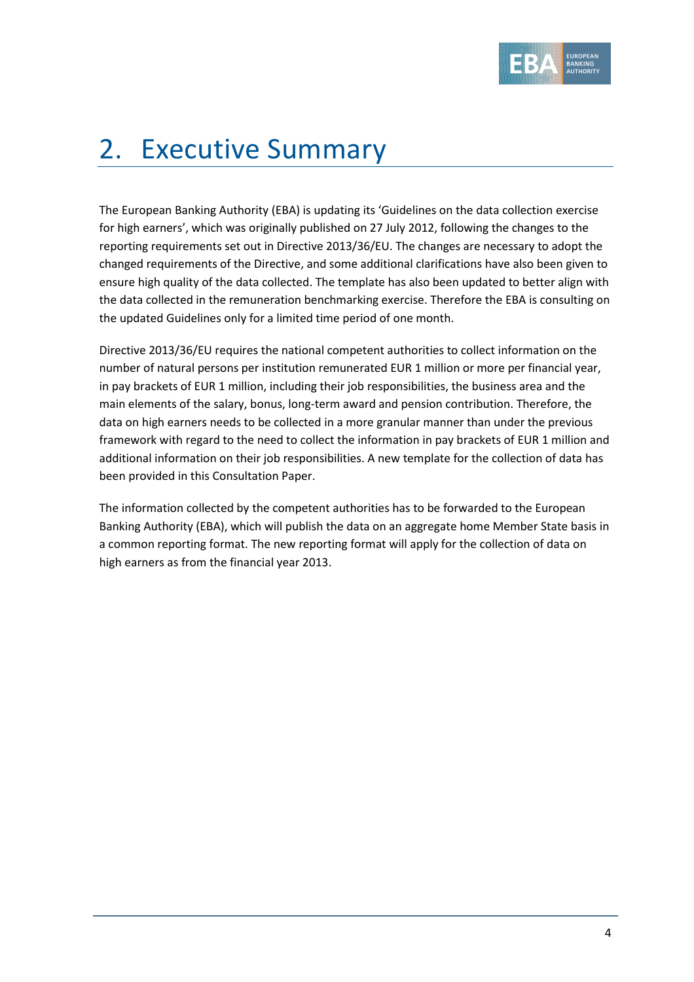

# 2. Executive Summary

The European Banking Authority (EBA) is updating its 'Guidelines on the data collection exercise for high earners', which was originally published on 27 July 2012, following the changes to the reporting requirements set out in Directive 2013/36/EU. The changes are necessary to adopt the changed requirements of the Directive, and some additional clarifications have also been given to ensure high quality of the data collected. The template has also been updated to better align with the data collected in the remuneration benchmarking exercise. Therefore the EBA is consulting on the updated Guidelines only for a limited time period of one month.

Directive 2013/36/EU requires the national competent authorities to collect information on the number of natural persons per institution remunerated EUR 1 million or more per financial year, in pay brackets of EUR 1 million, including their job responsibilities, the business area and the main elements of the salary, bonus, long-term award and pension contribution. Therefore, the data on high earners needs to be collected in a more granular manner than under the previous framework with regard to the need to collect the information in pay brackets of EUR 1 million and additional information on their job responsibilities. A new template for the collection of data has been provided in this Consultation Paper.

The information collected by the competent authorities has to be forwarded to the European Banking Authority (EBA), which will publish the data on an aggregate home Member State basis in a common reporting format. The new reporting format will apply for the collection of data on high earners as from the financial year 2013.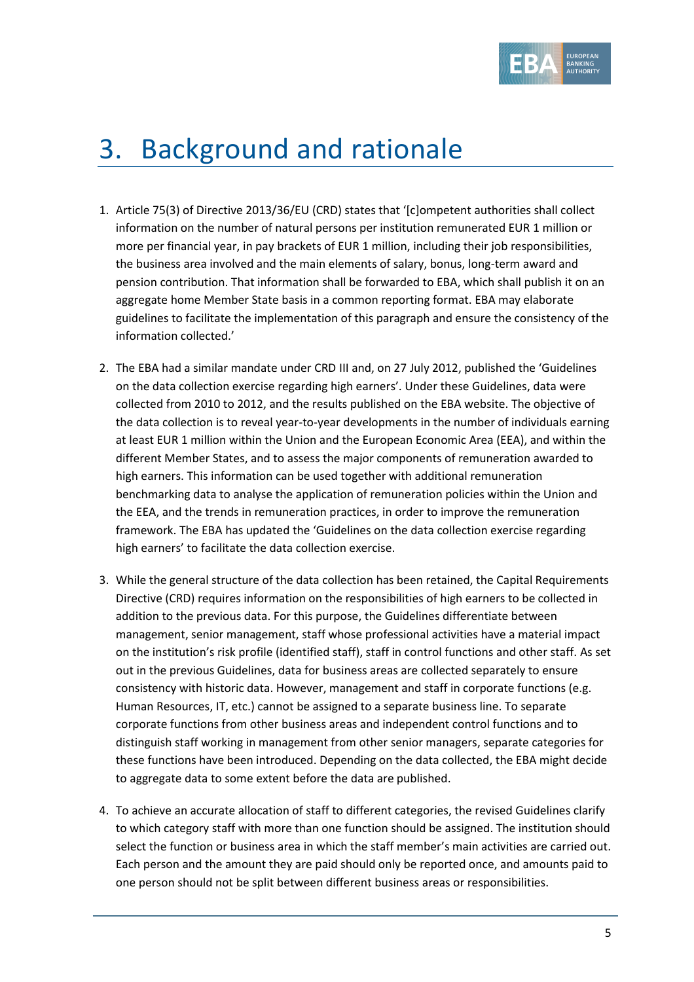

## 3. Background and rationale

- 1. Article 75(3) of Directive 2013/36/EU (CRD) states that '[c]ompetent authorities shall collect information on the number of natural persons per institution remunerated EUR 1 million or more per financial year, in pay brackets of EUR 1 million, including their job responsibilities, the business area involved and the main elements of salary, bonus, long-term award and pension contribution. That information shall be forwarded to EBA, which shall publish it on an aggregate home Member State basis in a common reporting format. EBA may elaborate guidelines to facilitate the implementation of this paragraph and ensure the consistency of the information collected.'
- 2. The EBA had a similar mandate under CRD III and, on 27 July 2012, published the 'Guidelines on the data collection exercise regarding high earners'. Under these Guidelines, data were collected from 2010 to 2012, and the results published on the EBA website. The objective of the data collection is to reveal year-to-year developments in the number of individuals earning at least EUR 1 million within the Union and the European Economic Area (EEA), and within the different Member States, and to assess the major components of remuneration awarded to high earners. This information can be used together with additional remuneration benchmarking data to analyse the application of remuneration policies within the Union and the EEA, and the trends in remuneration practices, in order to improve the remuneration framework. The EBA has updated the 'Guidelines on the data collection exercise regarding high earners' to facilitate the data collection exercise.
- 3. While the general structure of the data collection has been retained, the Capital Requirements Directive (CRD) requires information on the responsibilities of high earners to be collected in addition to the previous data. For this purpose, the Guidelines differentiate between management, senior management, staff whose professional activities have a material impact on the institution's risk profile (identified staff), staff in control functions and other staff. As set out in the previous Guidelines, data for business areas are collected separately to ensure consistency with historic data. However, management and staff in corporate functions (e.g. Human Resources, IT, etc.) cannot be assigned to a separate business line. To separate corporate functions from other business areas and independent control functions and to distinguish staff working in management from other senior managers, separate categories for these functions have been introduced. Depending on the data collected, the EBA might decide to aggregate data to some extent before the data are published.
- 4. To achieve an accurate allocation of staff to different categories, the revised Guidelines clarify to which category staff with more than one function should be assigned. The institution should select the function or business area in which the staff member's main activities are carried out. Each person and the amount they are paid should only be reported once, and amounts paid to one person should not be split between different business areas or responsibilities.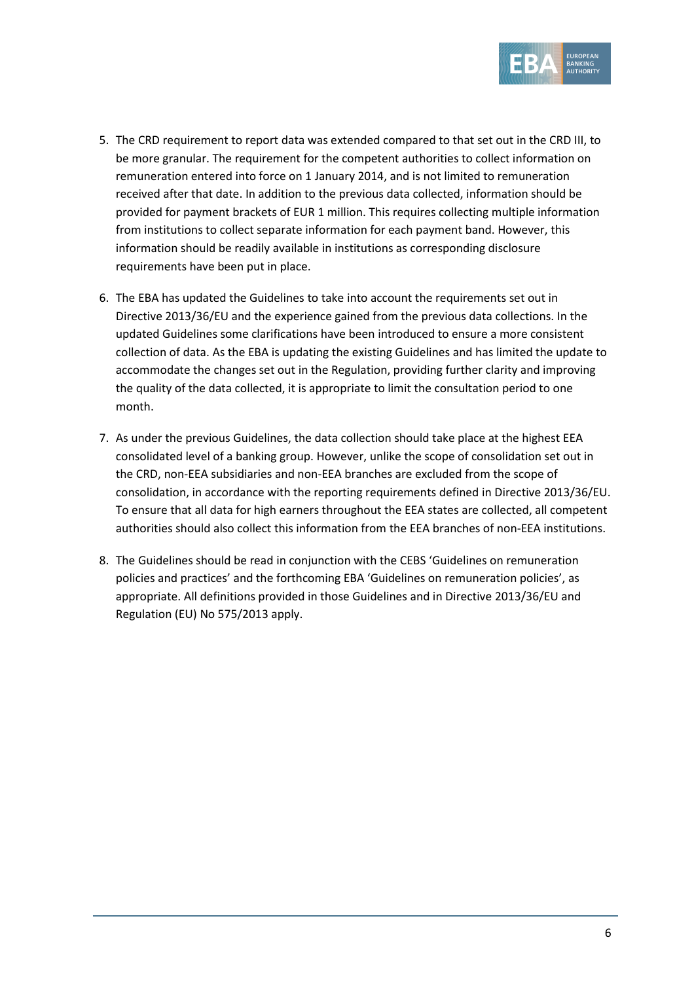

- 5. The CRD requirement to report data was extended compared to that set out in the CRD III, to be more granular. The requirement for the competent authorities to collect information on remuneration entered into force on 1 January 2014, and is not limited to remuneration received after that date. In addition to the previous data collected, information should be provided for payment brackets of EUR 1 million. This requires collecting multiple information from institutions to collect separate information for each payment band. However, this information should be readily available in institutions as corresponding disclosure requirements have been put in place.
- 6. The EBA has updated the Guidelines to take into account the requirements set out in Directive 2013/36/EU and the experience gained from the previous data collections. In the updated Guidelines some clarifications have been introduced to ensure a more consistent collection of data. As the EBA is updating the existing Guidelines and has limited the update to accommodate the changes set out in the Regulation, providing further clarity and improving the quality of the data collected, it is appropriate to limit the consultation period to one month.
- 7. As under the previous Guidelines, the data collection should take place at the highest EEA consolidated level of a banking group. However, unlike the scope of consolidation set out in the CRD, non-EEA subsidiaries and non-EEA branches are excluded from the scope of consolidation, in accordance with the reporting requirements defined in Directive 2013/36/EU. To ensure that all data for high earners throughout the EEA states are collected, all competent authorities should also collect this information from the EEA branches of non-EEA institutions.
- 8. The Guidelines should be read in conjunction with the CEBS 'Guidelines on remuneration policies and practices' and the forthcoming EBA 'Guidelines on remuneration policies', as appropriate. All definitions provided in those Guidelines and in Directive 2013/36/EU and Regulation (EU) No 575/2013 apply.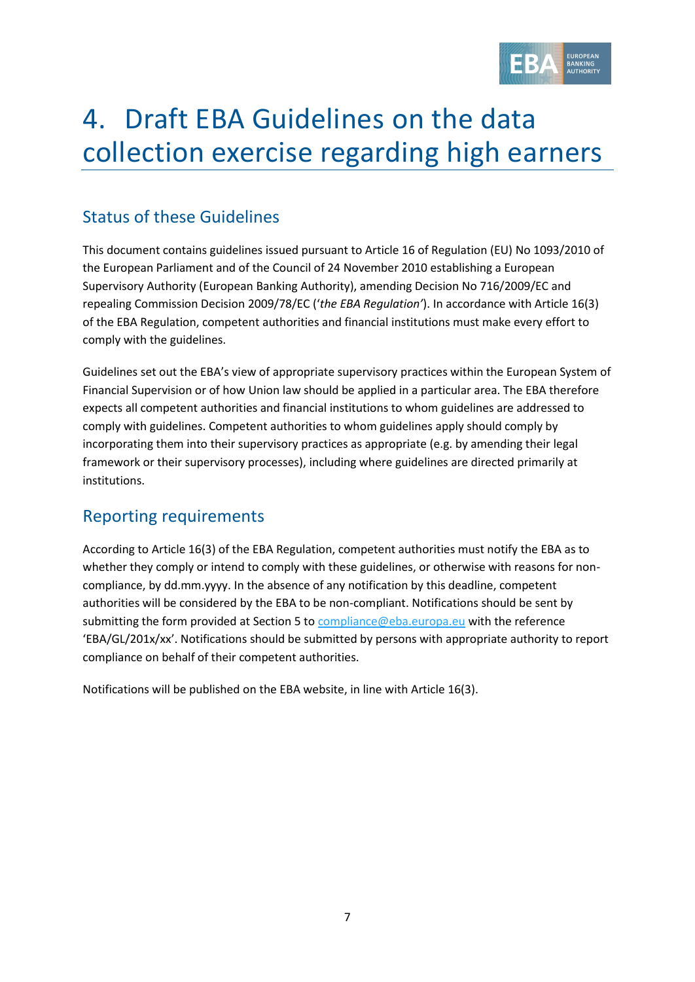

# 4. Draft EBA Guidelines on the data collection exercise regarding high earners

#### Status of these Guidelines

This document contains guidelines issued pursuant to Article 16 of Regulation (EU) No 1093/2010 of the European Parliament and of the Council of 24 November 2010 establishing a European Supervisory Authority (European Banking Authority), amending Decision No 716/2009/EC and repealing Commission Decision 2009/78/EC ('*the EBA Regulation'*). In accordance with Article 16(3) of the EBA Regulation, competent authorities and financial institutions must make every effort to comply with the guidelines.

Guidelines set out the EBA's view of appropriate supervisory practices within the European System of Financial Supervision or of how Union law should be applied in a particular area. The EBA therefore expects all competent authorities and financial institutions to whom guidelines are addressed to comply with guidelines. Competent authorities to whom guidelines apply should comply by incorporating them into their supervisory practices as appropriate (e.g. by amending their legal framework or their supervisory processes), including where guidelines are directed primarily at institutions.

### Reporting requirements

According to Article 16(3) of the EBA Regulation, competent authorities must notify the EBA as to whether they comply or intend to comply with these guidelines, or otherwise with reasons for noncompliance, by dd.mm.yyyy. In the absence of any notification by this deadline, competent authorities will be considered by the EBA to be non-compliant. Notifications should be sent by submitting the form provided at Section 5 to [compliance@eba.europa.eu](mailto:compliance@eba.europa.eu) with the reference 'EBA/GL/201x/xx'. Notifications should be submitted by persons with appropriate authority to report compliance on behalf of their competent authorities.

Notifications will be published on the EBA website, in line with Article 16(3).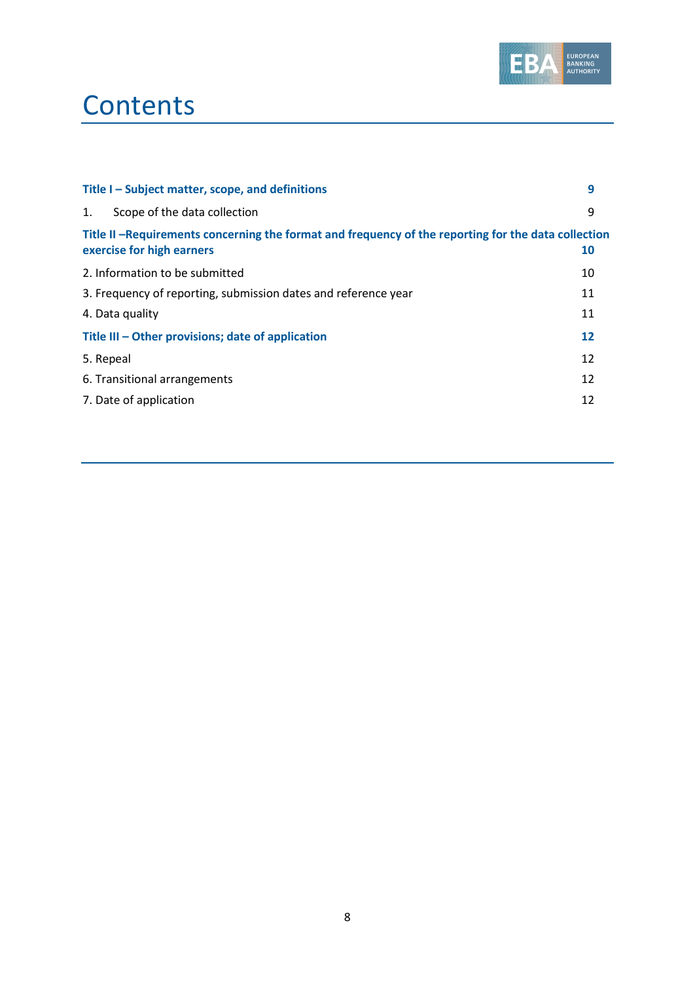

## **Contents**

| Title I - Subject matter, scope, and definitions                                                                                 | 9  |
|----------------------------------------------------------------------------------------------------------------------------------|----|
| Scope of the data collection<br>1.                                                                                               | 9  |
| Title II -Requirements concerning the format and frequency of the reporting for the data collection<br>exercise for high earners | 10 |
| 2. Information to be submitted                                                                                                   | 10 |
| 3. Frequency of reporting, submission dates and reference year                                                                   | 11 |
| 4. Data quality                                                                                                                  | 11 |
| Title III - Other provisions; date of application                                                                                | 12 |
| 5. Repeal                                                                                                                        | 12 |
| 6. Transitional arrangements                                                                                                     | 12 |
| 7. Date of application                                                                                                           | 12 |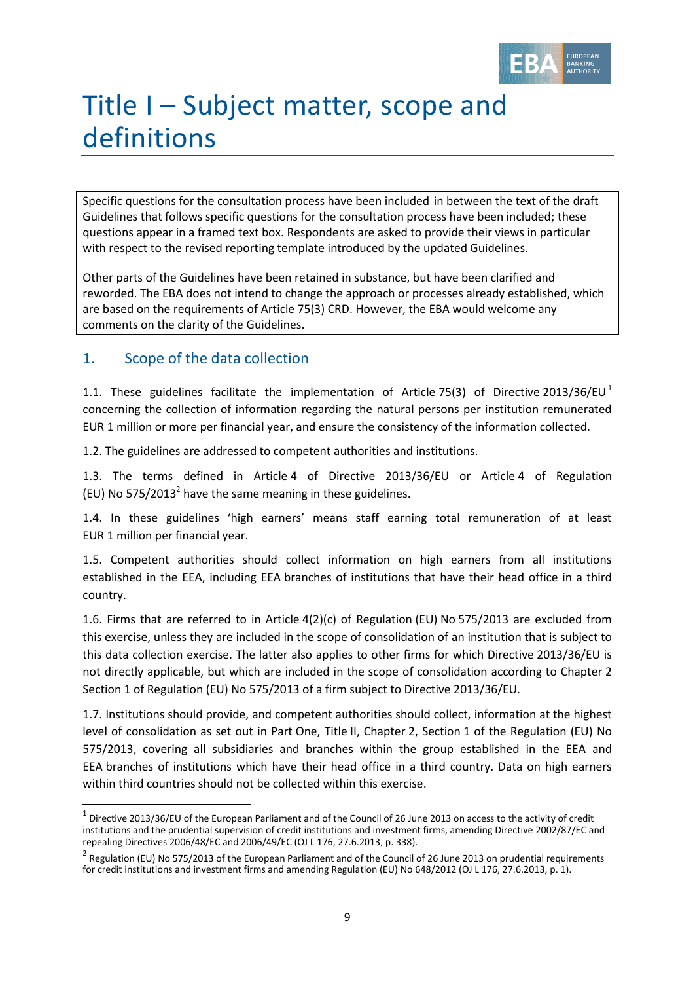

# Title I – Subject matter, scope and definitions

Specific questions for the consultation process have been included in between the text of the draft Guidelines that follows specific questions for the consultation process have been included; these questions appear in a framed text box. Respondents are asked to provide their views in particular with respect to the revised reporting template introduced by the updated Guidelines.

Other parts of the Guidelines have been retained in substance, but have been clarified and reworded. The EBA does not intend to change the approach or processes already established, which are based on the requirements of Article 75(3) CRD. However, the EBA would welcome any comments on the clarity of the Guidelines.

#### 1. Scope of the data collection

1

1.1. These guidelines facilitate the implementation of Article 75(3) of Directive 2013/36/EU<sup>1</sup> concerning the collection of information regarding the natural persons per institution remunerated EUR 1 million or more per financial year, and ensure the consistency of the information collected.

1.2. The guidelines are addressed to competent authorities and institutions.

1.3. The terms defined in Article 4 of Directive 2013/36/EU or Article 4 of Regulation (EU) No 575/2013<sup>2</sup> have the same meaning in these guidelines.

1.4. In these guidelines 'high earners' means staff earning total remuneration of at least EUR 1 million per financial year.

1.5. Competent authorities should collect information on high earners from all institutions established in the EEA, including EEA branches of institutions that have their head office in a third country.

1.6. Firms that are referred to in Article 4(2)(c) of Regulation (EU) No 575/2013 are excluded from this exercise, unless they are included in the scope of consolidation of an institution that is subject to this data collection exercise. The latter also applies to other firms for which Directive 2013/36/EU is not directly applicable, but which are included in the scope of consolidation according to Chapter 2 Section 1 of Regulation (EU) No 575/2013 of a firm subject to Directive 2013/36/EU.

1.7. Institutions should provide, and competent authorities should collect, information at the highest level of consolidation as set out in Part One, Title II, Chapter 2, Section 1 of the Regulation (EU) No 575/2013, covering all subsidiaries and branches within the group established in the EEA and EEA branches of institutions which have their head office in a third country. Data on high earners within third countries should not be collected within this exercise.

 $^1$  Directive 2013/36/EU of the European Parliament and of the Council of 26 June 2013 on access to the activity of credit institutions and the prudential supervision of credit institutions and investment firms, amending Directive 2002/87/EC and repealing Directives 2006/48/EC and 2006/49/EC (OJ L 176, 27.6.2013, p. 338).

 $^2$  Regulation (EU) No 575/2013 of the European Parliament and of the Council of 26 June 2013 on prudential requirements for credit institutions and investment firms and amending Regulation (EU) No 648/2012 (OJ L 176, 27.6.2013, p. 1).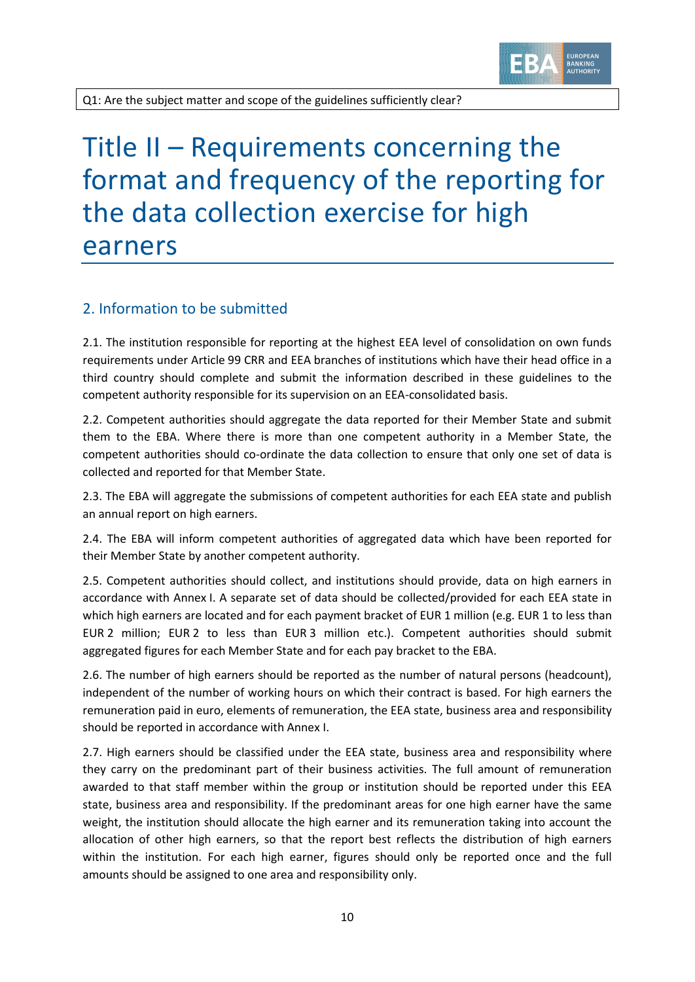

Q1: Are the subject matter and scope of the guidelines sufficiently clear?

### Title II – Requirements concerning the format and frequency of the reporting for the data collection exercise for high earners

#### 2. Information to be submitted

2.1. The institution responsible for reporting at the highest EEA level of consolidation on own funds requirements under Article 99 CRR and EEA branches of institutions which have their head office in a third country should complete and submit the information described in these guidelines to the competent authority responsible for its supervision on an EEA-consolidated basis.

2.2. Competent authorities should aggregate the data reported for their Member State and submit them to the EBA. Where there is more than one competent authority in a Member State, the competent authorities should co-ordinate the data collection to ensure that only one set of data is collected and reported for that Member State.

2.3. The EBA will aggregate the submissions of competent authorities for each EEA state and publish an annual report on high earners.

2.4. The EBA will inform competent authorities of aggregated data which have been reported for their Member State by another competent authority.

2.5. Competent authorities should collect, and institutions should provide, data on high earners in accordance with Annex I. A separate set of data should be collected/provided for each EEA state in which high earners are located and for each payment bracket of EUR 1 million (e.g. EUR 1 to less than EUR 2 million; EUR 2 to less than EUR 3 million etc.). Competent authorities should submit aggregated figures for each Member State and for each pay bracket to the EBA.

2.6. The number of high earners should be reported as the number of natural persons (headcount), independent of the number of working hours on which their contract is based. For high earners the remuneration paid in euro, elements of remuneration, the EEA state, business area and responsibility should be reported in accordance with Annex I.

2.7. High earners should be classified under the EEA state, business area and responsibility where they carry on the predominant part of their business activities. The full amount of remuneration awarded to that staff member within the group or institution should be reported under this EEA state, business area and responsibility. If the predominant areas for one high earner have the same weight, the institution should allocate the high earner and its remuneration taking into account the allocation of other high earners, so that the report best reflects the distribution of high earners within the institution. For each high earner, figures should only be reported once and the full amounts should be assigned to one area and responsibility only.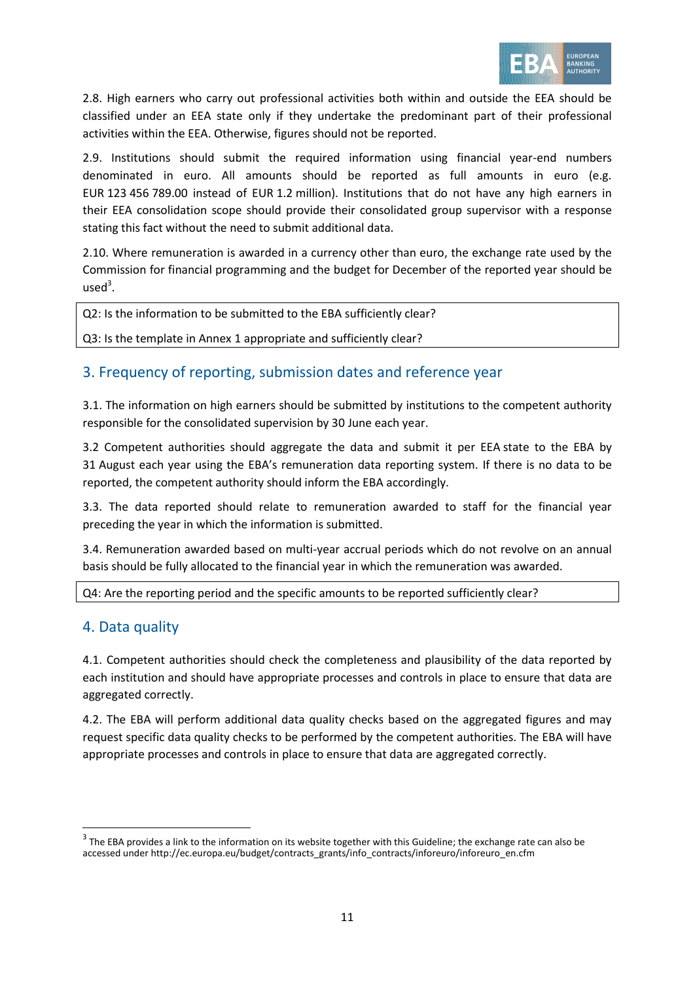

2.8. High earners who carry out professional activities both within and outside the EEA should be classified under an EEA state only if they undertake the predominant part of their professional activities within the EEA. Otherwise, figures should not be reported.

2.9. Institutions should submit the required information using financial year-end numbers denominated in euro. All amounts should be reported as full amounts in euro (e.g. EUR 123 456 789.00 instead of EUR 1.2 million). Institutions that do not have any high earners in their EEA consolidation scope should provide their consolidated group supervisor with a response stating this fact without the need to submit additional data.

2.10. Where remuneration is awarded in a currency other than euro, the exchange rate used by the Commission for financial programming and the budget for December of the reported year should be  $used<sup>3</sup>$ .

Q2: Is the information to be submitted to the EBA sufficiently clear?

Q3: Is the template in Annex 1 appropriate and sufficiently clear?

#### 3. Frequency of reporting, submission dates and reference year

3.1. The information on high earners should be submitted by institutions to the competent authority responsible for the consolidated supervision by 30 June each year.

3.2 Competent authorities should aggregate the data and submit it per EEA state to the EBA by 31 August each year using the EBA's remuneration data reporting system. If there is no data to be reported, the competent authority should inform the EBA accordingly.

3.3. The data reported should relate to remuneration awarded to staff for the financial year preceding the year in which the information is submitted.

3.4. Remuneration awarded based on multi-year accrual periods which do not revolve on an annual basis should be fully allocated to the financial year in which the remuneration was awarded.

Q4: Are the reporting period and the specific amounts to be reported sufficiently clear?

#### 4. Data quality

1

4.1. Competent authorities should check the completeness and plausibility of the data reported by each institution and should have appropriate processes and controls in place to ensure that data are aggregated correctly.

4.2. The EBA will perform additional data quality checks based on the aggregated figures and may request specific data quality checks to be performed by the competent authorities. The EBA will have appropriate processes and controls in place to ensure that data are aggregated correctly.

 $^3$  The EBA provides a link to the information on its website together with this Guideline; the exchange rate can also be accessed under http://ec.europa.eu/budget/contracts\_grants/info\_contracts/inforeuro/inforeuro\_en.cfm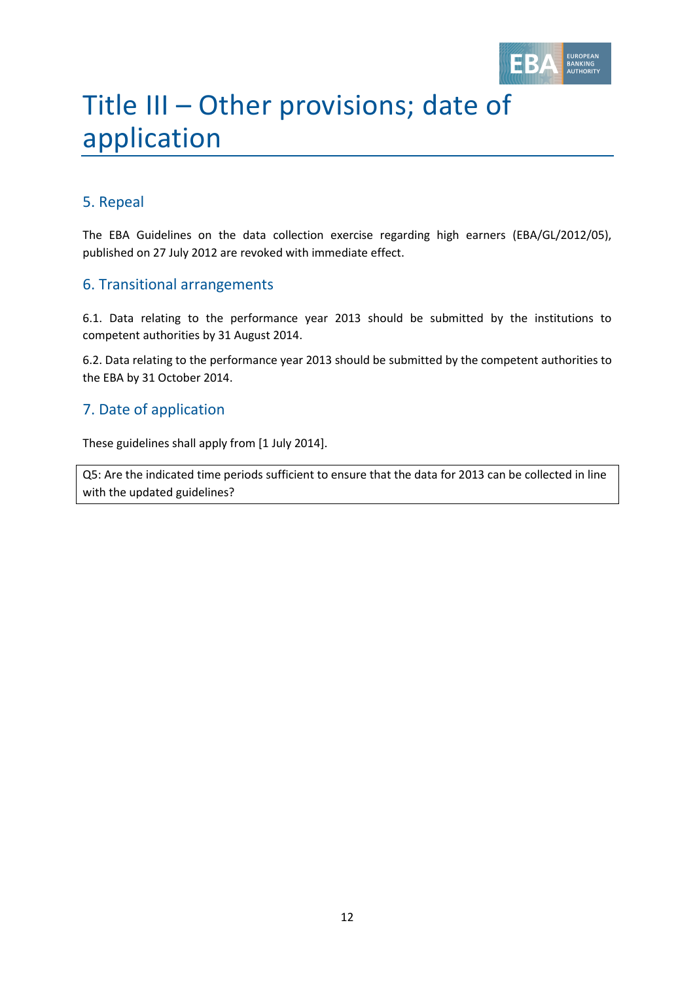

# Title III – Other provisions; date of application

#### 5. Repeal

The EBA Guidelines on the data collection exercise regarding high earners (EBA/GL/2012/05), published on 27 July 2012 are revoked with immediate effect.

#### 6. Transitional arrangements

6.1. Data relating to the performance year 2013 should be submitted by the institutions to competent authorities by 31 August 2014.

6.2. Data relating to the performance year 2013 should be submitted by the competent authorities to the EBA by 31 October 2014.

#### 7. Date of application

These guidelines shall apply from [1 July 2014].

Q5: Are the indicated time periods sufficient to ensure that the data for 2013 can be collected in line with the updated guidelines?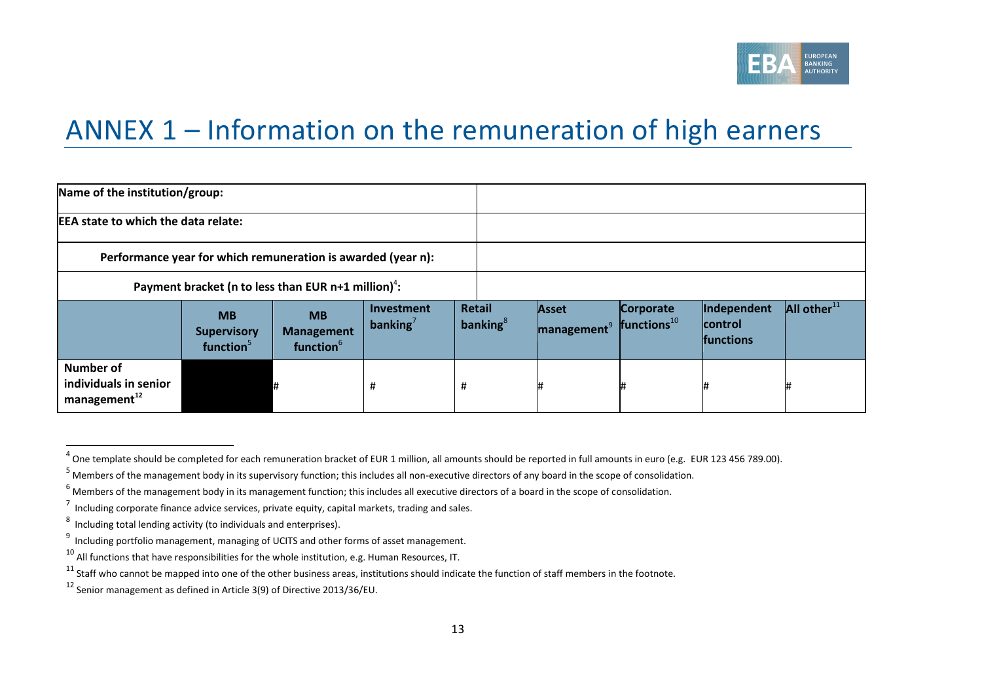

### ANNEX 1 – Information on the remuneration of high earners

| Name of the institution/group:                                    |                                                          |                                                         |                                  |                              |                                  |                            |                                            |                   |
|-------------------------------------------------------------------|----------------------------------------------------------|---------------------------------------------------------|----------------------------------|------------------------------|----------------------------------|----------------------------|--------------------------------------------|-------------------|
| <b>EEA state to which the data relate:</b>                        |                                                          |                                                         |                                  |                              |                                  |                            |                                            |                   |
| Performance year for which remuneration is awarded (year n):      |                                                          |                                                         |                                  |                              |                                  |                            |                                            |                   |
| Payment bracket (n to less than EUR $n+1$ million) <sup>4</sup> : |                                                          |                                                         |                                  |                              |                                  |                            |                                            |                   |
|                                                                   | <b>MB</b><br><b>Supervisory</b><br>function <sup>5</sup> | <b>MB</b><br><b>Management</b><br>function <sup>6</sup> | <b>Investment</b><br>banking $'$ | <b>Retail</b><br>banking $8$ | Asset<br>management <sup>9</sup> | Corporate<br>$frac{1}{10}$ | Independent<br>control<br><b>functions</b> | All other $^{11}$ |
| Number of<br>individuals in senior<br>management <sup>12</sup>    |                                                          |                                                         | #                                | #                            |                                  |                            |                                            |                   |

1

 $^4$  One template should be completed for each remuneration bracket of EUR 1 million, all amounts should be reported in full amounts in euro (e.g. EUR 123 456 789.00).

<sup>5</sup> Members of the management body in its supervisory function; this includes all non-executive directors of any board in the scope of consolidation.

 $6$  Members of the management body in its management function; this includes all executive directors of a board in the scope of consolidation.

 $^7$  Including corporate finance advice services, private equity, capital markets, trading and sales.

<sup>8</sup> Including total lending activity (to individuals and enterprises).

<sup>&</sup>lt;sup>9</sup> Including portfolio management, managing of UCITS and other forms of asset management.

 $10$  All functions that have responsibilities for the whole institution, e.g. Human Resources, IT.

 $11$  Staff who cannot be mapped into one of the other business areas, institutions should indicate the function of staff members in the footnote.

<sup>12</sup> Senior management as defined in Article 3(9) of Directive 2013/36/EU.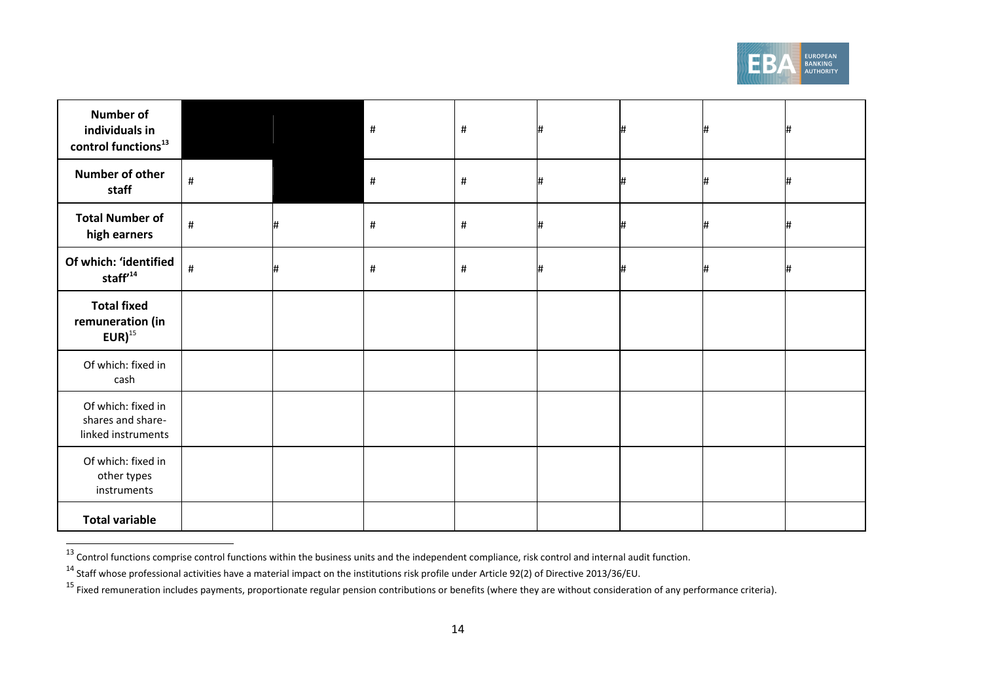

| <b>Number of</b><br>individuals in<br>control functions <sup>13</sup> |      |   | #    | $\#$ |   | # |  |
|-----------------------------------------------------------------------|------|---|------|------|---|---|--|
| Number of other<br>staff                                              | $\#$ |   | #    | $\#$ | # | # |  |
| <b>Total Number of</b><br>high earners                                | $\#$ | # | $\#$ | $\#$ |   | # |  |
| Of which: 'identified<br>staff <sup>'14</sup>                         | $\#$ | # | $\#$ | $\#$ |   | # |  |
| <b>Total fixed</b><br>remuneration (in<br>$EUR)^{15}$                 |      |   |      |      |   |   |  |
| Of which: fixed in<br>cash                                            |      |   |      |      |   |   |  |
| Of which: fixed in<br>shares and share-<br>linked instruments         |      |   |      |      |   |   |  |
| Of which: fixed in<br>other types<br>instruments                      |      |   |      |      |   |   |  |
| <b>Total variable</b>                                                 |      |   |      |      |   |   |  |

 <sup>13</sup> Control functions comprise control functions within the business units and the independent compliance, risk control and internal audit function.

<sup>14</sup> Staff whose professional activities have a material impact on the institutions risk profile under Article 92(2) of Directive 2013/36/EU.

<sup>&</sup>lt;sup>15</sup> Fixed remuneration includes payments, proportionate regular pension contributions or benefits (where they are without consideration of any performance criteria).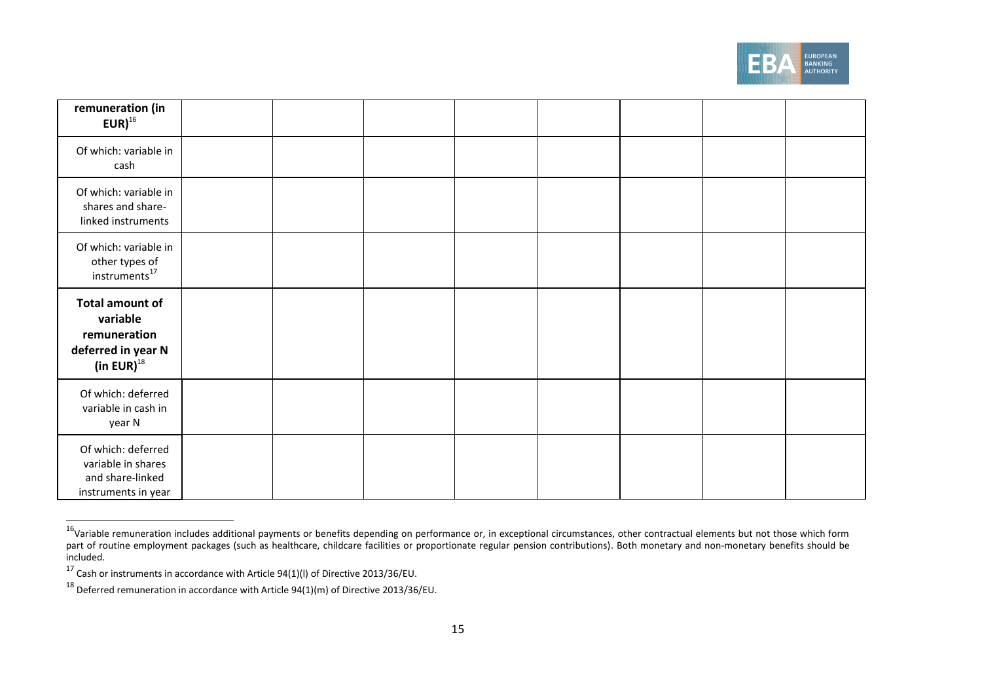

| remuneration (in<br>$EUR)^{16}$                                                              |  |  |  |  |
|----------------------------------------------------------------------------------------------|--|--|--|--|
| Of which: variable in<br>cash                                                                |  |  |  |  |
| Of which: variable in<br>shares and share-<br>linked instruments                             |  |  |  |  |
| Of which: variable in<br>other types of<br>instruments <sup>17</sup>                         |  |  |  |  |
| <b>Total amount of</b><br>variable<br>remuneration<br>deferred in year N<br>(in EUR) $^{18}$ |  |  |  |  |
| Of which: deferred<br>variable in cash in<br>year N                                          |  |  |  |  |
| Of which: deferred<br>variable in shares<br>and share-linked<br>instruments in year          |  |  |  |  |

 <sup>16</sup>Variable remuneration includes additional payments or benefits depending on performance or, in exceptional circumstances, other contractual elements but not those which form part of routine employment packages (such as healthcare, childcare facilities or proportionate regular pension contributions). Both monetary and non-monetary benefits should be included.

 $17$  Cash or instruments in accordance with Article 94(1)(I) of Directive 2013/36/EU.

 $^{18}$  Deferred remuneration in accordance with Article 94(1)(m) of Directive 2013/36/EU.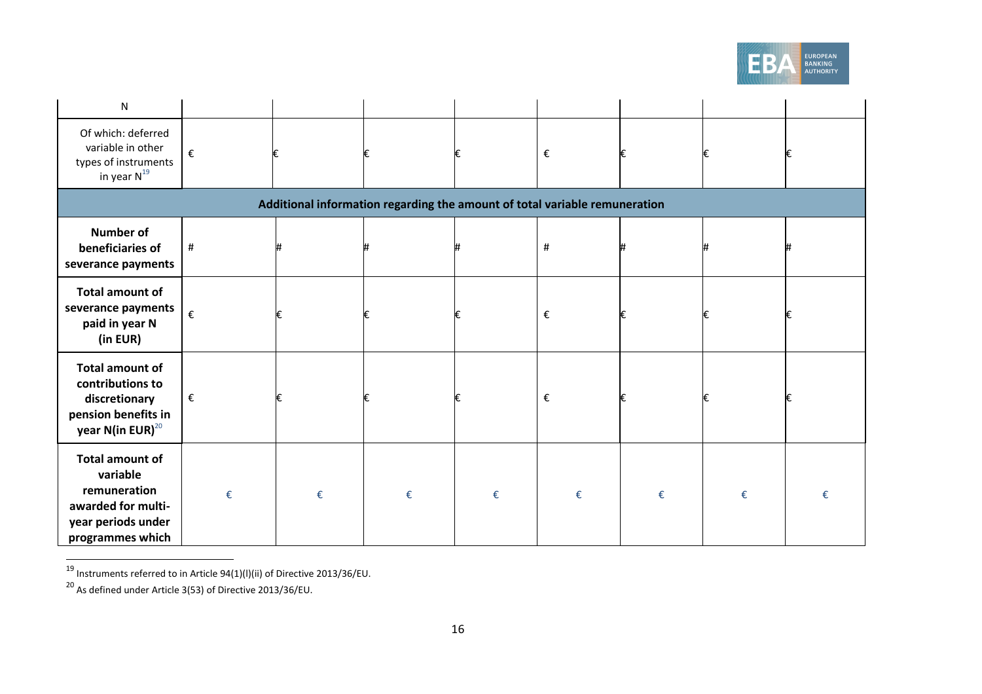

| ${\sf N}$                                                                                                          |   |   |                                                                            |   |                         |   |   |   |
|--------------------------------------------------------------------------------------------------------------------|---|---|----------------------------------------------------------------------------|---|-------------------------|---|---|---|
| Of which: deferred<br>variable in other<br>types of instruments<br>in year $N^{19}$                                | € |   |                                                                            |   | $\boldsymbol{\epsilon}$ |   | € |   |
|                                                                                                                    |   |   | Additional information regarding the amount of total variable remuneration |   |                         |   |   |   |
| <b>Number of</b><br>beneficiaries of<br>severance payments                                                         | # |   |                                                                            |   | #                       |   |   |   |
| <b>Total amount of</b><br>severance payments<br>paid in year N<br>(in EUR)                                         | € |   |                                                                            |   | €                       |   | € |   |
| <b>Total amount of</b><br>contributions to<br>discretionary<br>pension benefits in<br>year N(in EUR) $^{20}$       | € |   |                                                                            |   | €                       |   | € |   |
| <b>Total amount of</b><br>variable<br>remuneration<br>awarded for multi-<br>year periods under<br>programmes which | € | € | €                                                                          | € | €                       | € | € | € |

 $\overline{^{19}}$  Instruments referred to in Article 94(1)(l)(ii) of Directive 2013/36/EU.

 $^{20}$  As defined under Article 3(53) of Directive 2013/36/EU.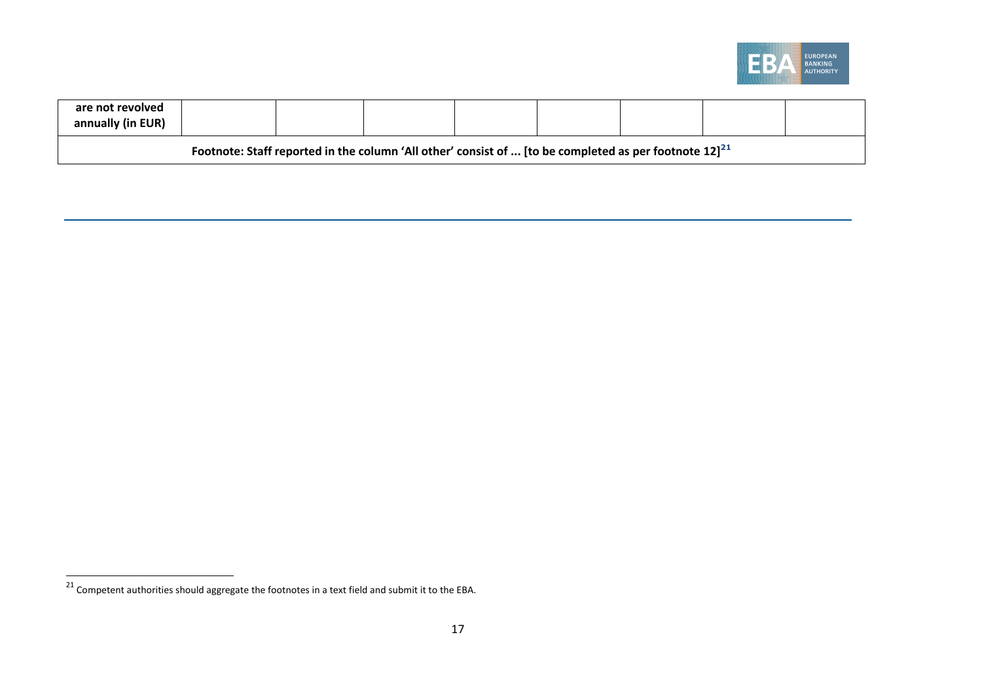

| are not revolved<br>annually (in EUR) |  |                                                                                                            |  |  |  |
|---------------------------------------|--|------------------------------------------------------------------------------------------------------------|--|--|--|
|                                       |  | Footnote: Staff reported in the column 'All other' consist of  [to be completed as per footnote $12]^{21}$ |  |  |  |

 $\overline{c^{21}}$  Competent authorities should aggregate the footnotes in a text field and submit it to the EBA.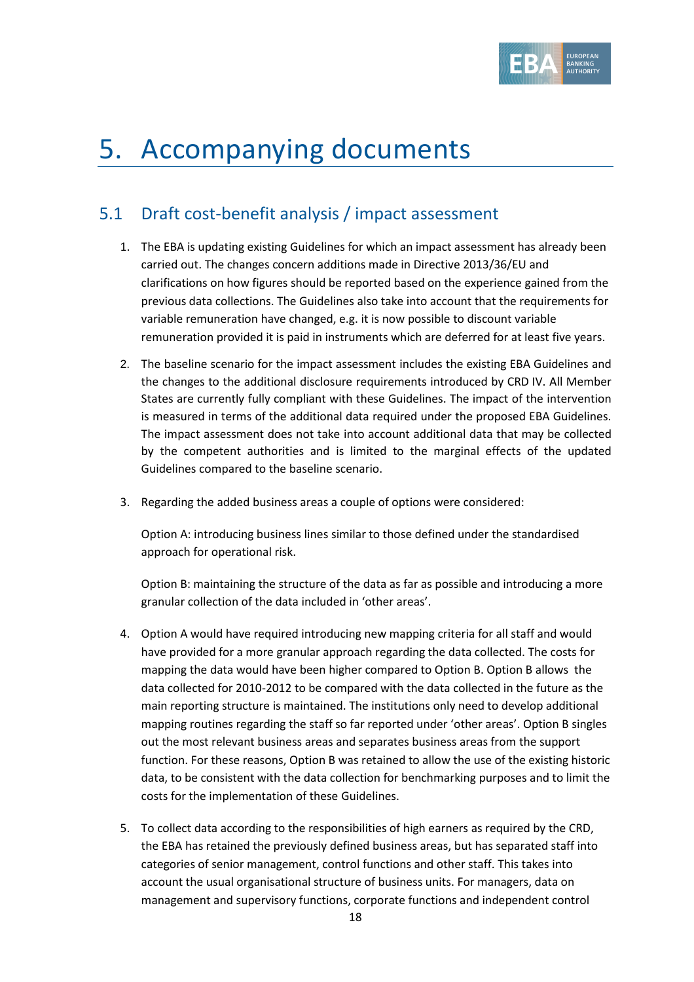

## 5. Accompanying documents

### 5.1 Draft cost-benefit analysis / impact assessment

- 1. The EBA is updating existing Guidelines for which an impact assessment has already been carried out. The changes concern additions made in Directive 2013/36/EU and clarifications on how figures should be reported based on the experience gained from the previous data collections. The Guidelines also take into account that the requirements for variable remuneration have changed, e.g. it is now possible to discount variable remuneration provided it is paid in instruments which are deferred for at least five years.
- 2. The baseline scenario for the impact assessment includes the existing EBA Guidelines and the changes to the additional disclosure requirements introduced by CRD IV. All Member States are currently fully compliant with these Guidelines. The impact of the intervention is measured in terms of the additional data required under the proposed EBA Guidelines. The impact assessment does not take into account additional data that may be collected by the competent authorities and is limited to the marginal effects of the updated Guidelines compared to the baseline scenario.
- 3. Regarding the added business areas a couple of options were considered:

Option A: introducing business lines similar to those defined under the standardised approach for operational risk.

Option B: maintaining the structure of the data as far as possible and introducing a more granular collection of the data included in 'other areas'.

- 4. Option A would have required introducing new mapping criteria for all staff and would have provided for a more granular approach regarding the data collected. The costs for mapping the data would have been higher compared to Option B. Option B allows the data collected for 2010-2012 to be compared with the data collected in the future as the main reporting structure is maintained. The institutions only need to develop additional mapping routines regarding the staff so far reported under 'other areas'. Option B singles out the most relevant business areas and separates business areas from the support function. For these reasons, Option B was retained to allow the use of the existing historic data, to be consistent with the data collection for benchmarking purposes and to limit the costs for the implementation of these Guidelines.
- 5. To collect data according to the responsibilities of high earners as required by the CRD, the EBA has retained the previously defined business areas, but has separated staff into categories of senior management, control functions and other staff. This takes into account the usual organisational structure of business units. For managers, data on management and supervisory functions, corporate functions and independent control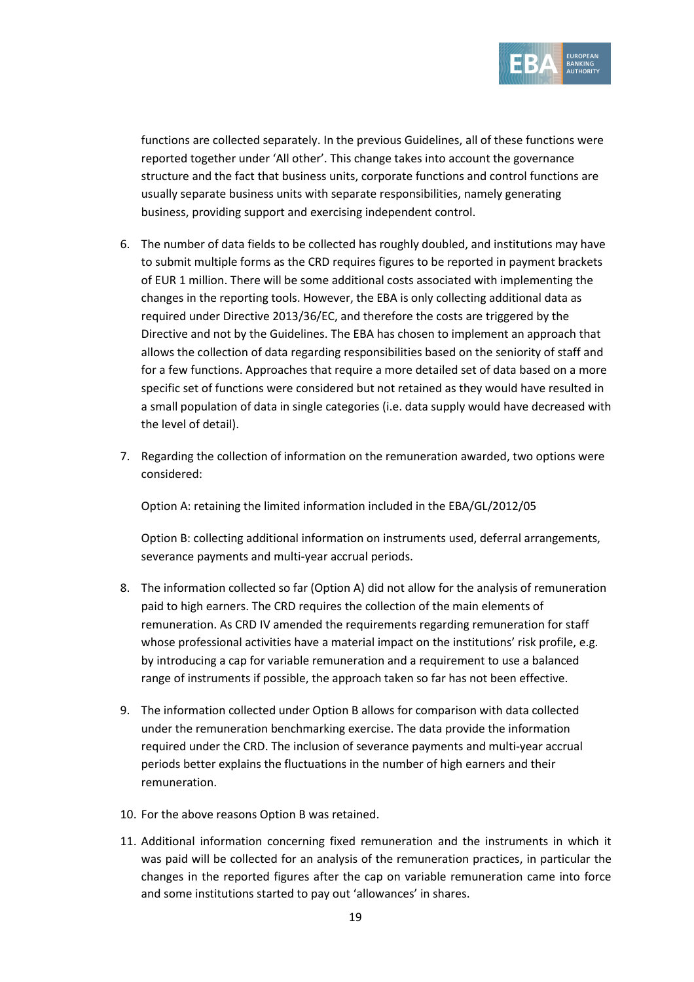

functions are collected separately. In the previous Guidelines, all of these functions were reported together under 'All other'. This change takes into account the governance structure and the fact that business units, corporate functions and control functions are usually separate business units with separate responsibilities, namely generating business, providing support and exercising independent control.

- 6. The number of data fields to be collected has roughly doubled, and institutions may have to submit multiple forms as the CRD requires figures to be reported in payment brackets of EUR 1 million. There will be some additional costs associated with implementing the changes in the reporting tools. However, the EBA is only collecting additional data as required under Directive 2013/36/EC, and therefore the costs are triggered by the Directive and not by the Guidelines. The EBA has chosen to implement an approach that allows the collection of data regarding responsibilities based on the seniority of staff and for a few functions. Approaches that require a more detailed set of data based on a more specific set of functions were considered but not retained as they would have resulted in a small population of data in single categories (i.e. data supply would have decreased with the level of detail).
- 7. Regarding the collection of information on the remuneration awarded, two options were considered:

Option A: retaining the limited information included in the EBA/GL/2012/05

Option B: collecting additional information on instruments used, deferral arrangements, severance payments and multi-year accrual periods.

- 8. The information collected so far (Option A) did not allow for the analysis of remuneration paid to high earners. The CRD requires the collection of the main elements of remuneration. As CRD IV amended the requirements regarding remuneration for staff whose professional activities have a material impact on the institutions' risk profile, e.g. by introducing a cap for variable remuneration and a requirement to use a balanced range of instruments if possible, the approach taken so far has not been effective.
- 9. The information collected under Option B allows for comparison with data collected under the remuneration benchmarking exercise. The data provide the information required under the CRD. The inclusion of severance payments and multi-year accrual periods better explains the fluctuations in the number of high earners and their remuneration.
- 10. For the above reasons Option B was retained.
- 11. Additional information concerning fixed remuneration and the instruments in which it was paid will be collected for an analysis of the remuneration practices, in particular the changes in the reported figures after the cap on variable remuneration came into force and some institutions started to pay out 'allowances' in shares.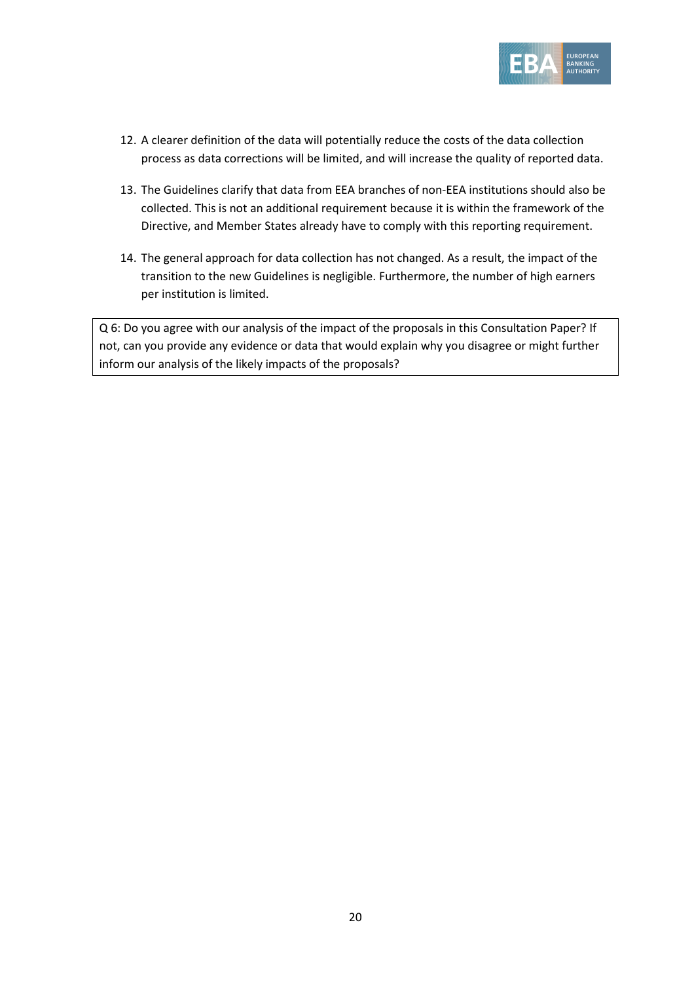

- 12. A clearer definition of the data will potentially reduce the costs of the data collection process as data corrections will be limited, and will increase the quality of reported data.
- 13. The Guidelines clarify that data from EEA branches of non-EEA institutions should also be collected. This is not an additional requirement because it is within the framework of the Directive, and Member States already have to comply with this reporting requirement.
- 14. The general approach for data collection has not changed. As a result, the impact of the transition to the new Guidelines is negligible. Furthermore, the number of high earners per institution is limited.

Q 6: Do you agree with our analysis of the impact of the proposals in this Consultation Paper? If not, can you provide any evidence or data that would explain why you disagree or might further inform our analysis of the likely impacts of the proposals?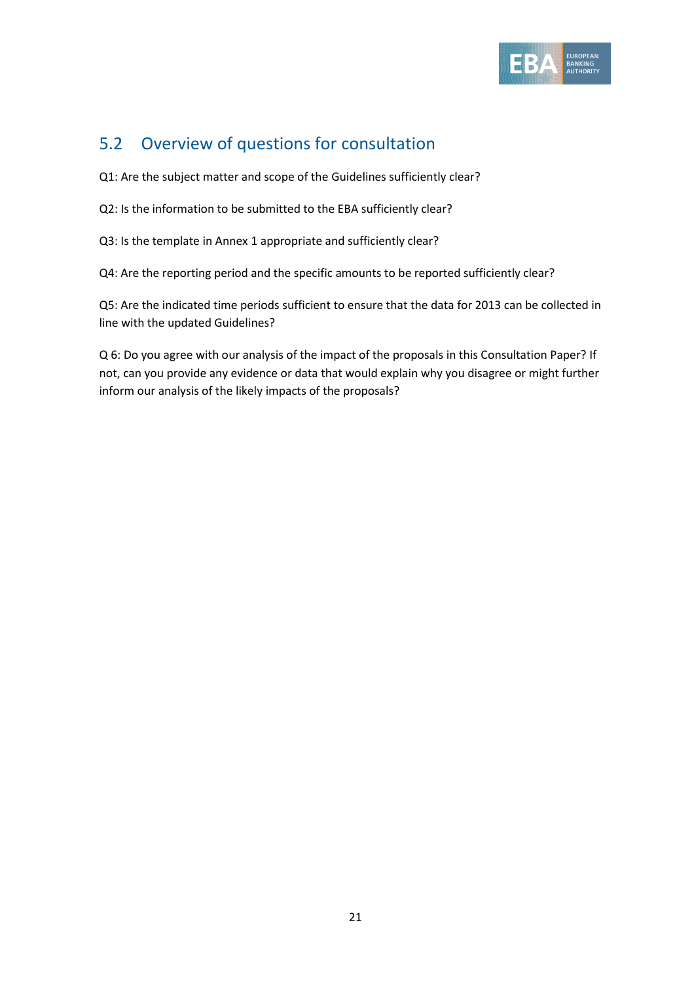

#### 5.2 Overview of questions for consultation

Q1: Are the subject matter and scope of the Guidelines sufficiently clear?

Q2: Is the information to be submitted to the EBA sufficiently clear?

Q3: Is the template in Annex 1 appropriate and sufficiently clear?

Q4: Are the reporting period and the specific amounts to be reported sufficiently clear?

Q5: Are the indicated time periods sufficient to ensure that the data for 2013 can be collected in line with the updated Guidelines?

Q 6: Do you agree with our analysis of the impact of the proposals in this Consultation Paper? If not, can you provide any evidence or data that would explain why you disagree or might further inform our analysis of the likely impacts of the proposals?